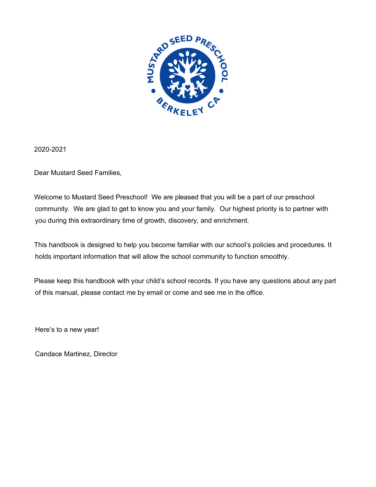

2020-2021

Dear Mustard Seed Families,

Welcome to Mustard Seed Preschool! We are pleased that you will be a part of our preschool community. We are glad to get to know you and your family. Our highest priority is to partner with you during this extraordinary time of growth, discovery, and enrichment.

This handbook is designed to help you become familiar with our school's policies and procedures. It holds important information that will allow the school community to function smoothly.

Please keep this handbook with your child's school records. If you have any questions about any part of this manual, please contact me by email or come and see me in the office.

Here's to a new year!

Candace Martinez, Director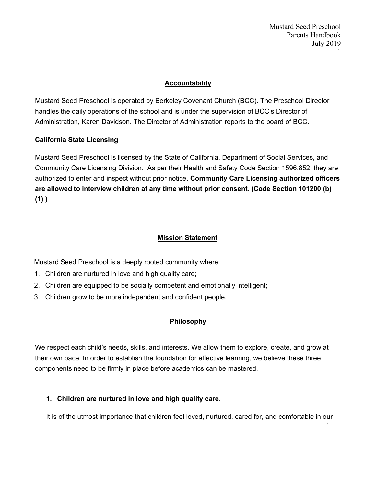Mustard Seed Preschool Parents Handbook July 2019 1

## **Accountability**

Mustard Seed Preschool is operated by Berkeley Covenant Church (BCC). The Preschool Director handles the daily operations of the school and is under the supervision of BCC's Director of Administration, Karen Davidson. The Director of Administration reports to the board of BCC.

## **California State Licensing**

Mustard Seed Preschool is licensed by the State of California, Department of Social Services, and Community Care Licensing Division. As per their Health and Safety Code Section 1596.852, they are authorized to enter and inspect without prior notice. **Community Care Licensing authorized officers are allowed to interview children at any time without prior consent. (Code Section 101200 (b) (1) )**

## **Mission Statement**

Mustard Seed Preschool is a deeply rooted community where:

- 1. Children are nurtured in love and high quality care;
- 2. Children are equipped to be socially competent and emotionally intelligent;
- 3. Children grow to be more independent and confident people.

# **Philosophy**

We respect each child's needs, skills, and interests. We allow them to explore, create, and grow at their own pace. In order to establish the foundation for effective learning, we believe these three components need to be firmly in place before academics can be mastered.

### **1. Children are nurtured in love and high quality care**.

It is of the utmost importance that children feel loved, nurtured, cared for, and comfortable in our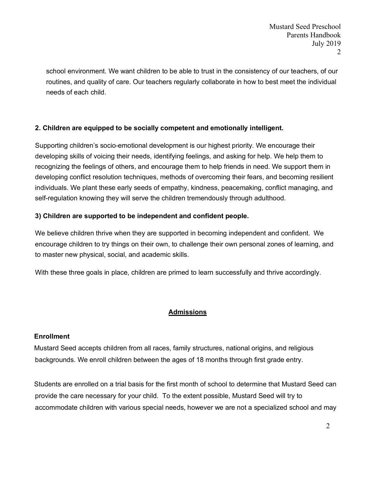school environment. We want children to be able to trust in the consistency of our teachers, of our routines, and quality of care. Our teachers regularly collaborate in how to best meet the individual needs of each child.

# **2. Children are equipped to be socially competent and emotionally intelligent.**

Supporting children's socio-emotional development is our highest priority. We encourage their developing skills of voicing their needs, identifying feelings, and asking for help. We help them to recognizing the feelings of others, and encourage them to help friends in need. We support them in developing conflict resolution techniques, methods of overcoming their fears, and becoming resilient individuals. We plant these early seeds of empathy, kindness, peacemaking, conflict managing, and self-regulation knowing they will serve the children tremendously through adulthood.

# **3) Children are supported to be independent and confident people.**

We believe children thrive when they are supported in becoming independent and confident. We encourage children to try things on their own, to challenge their own personal zones of learning, and to master new physical, social, and academic skills.

With these three goals in place, children are primed to learn successfully and thrive accordingly.

# **Admissions**

# **Enrollment**

Mustard Seed accepts children from all races, family structures, national origins, and religious backgrounds. We enroll children between the ages of 18 months through first grade entry.

Students are enrolled on a trial basis for the first month of school to determine that Mustard Seed can provide the care necessary for your child. To the extent possible, Mustard Seed will try to accommodate children with various special needs, however we are not a specialized school and may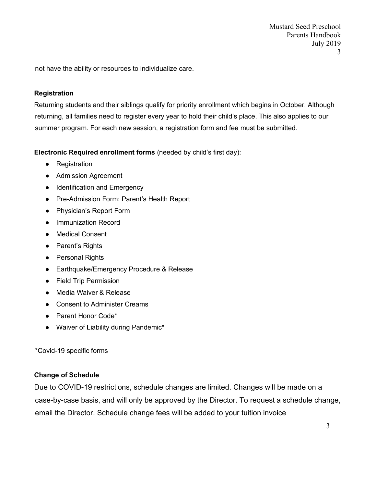Mustard Seed Preschool Parents Handbook July 2019 3

not have the ability or resources to individualize care.

#### **Registration**

Returning students and their siblings qualify for priority enrollment which begins in October. Although returning, all families need to register every year to hold their child's place. This also applies to our summer program. For each new session, a registration form and fee must be submitted.

**Electronic Required enrollment forms** (needed by child's first day):

- Registration
- Admission Agreement
- Identification and Emergency
- Pre-Admission Form: Parent's Health Report
- Physician's Report Form
- Immunization Record
- Medical Consent
- Parent's Rights
- Personal Rights
- Earthquake/Emergency Procedure & Release
- Field Trip Permission
- Media Waiver & Release
- Consent to Administer Creams
- Parent Honor Code\*
- Waiver of Liability during Pandemic\*

\*Covid-19 specific forms

### **Change of Schedule**

Due to COVID-19 restrictions, schedule changes are limited. Changes will be made on a case-by-case basis, and will only be approved by the Director. To request a schedule change, email the Director. Schedule change fees will be added to your tuition invoice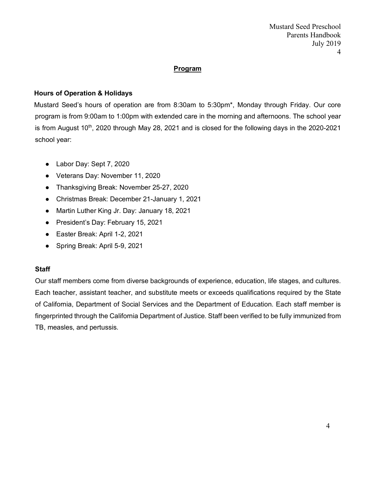## **Program**

## **Hours of Operation & Holidays**

Mustard Seed's hours of operation are from 8:30am to 5:30pm\*, Monday through Friday. Our core program is from 9:00am to 1:00pm with extended care in the morning and afternoons. The school year is from August 10<sup>th</sup>, 2020 through May 28, 2021 and is closed for the following days in the 2020-2021 school year:

- Labor Day: Sept 7, 2020
- Veterans Day: November 11, 2020
- Thanksgiving Break: November 25-27, 2020
- Christmas Break: December 21-January 1, 2021
- Martin Luther King Jr. Day: January 18, 2021
- President's Day: February 15, 2021
- Easter Break: April 1-2, 2021
- Spring Break: April 5-9, 2021

### **Staff**

Our staff members come from diverse backgrounds of experience, education, life stages, and cultures. Each teacher, assistant teacher, and substitute meets or exceeds qualifications required by the State of California, Department of Social Services and the Department of Education. Each staff member is fingerprinted through the California Department of Justice. Staff been verified to be fully immunized from TB, measles, and pertussis.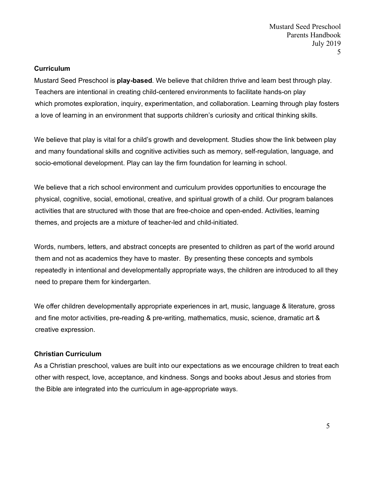#### **Curriculum**

Mustard Seed Preschool is **play-based**. We believe that children thrive and learn best through play. Teachers are intentional in creating child-centered environments to facilitate hands-on play which promotes exploration, inquiry, experimentation, and collaboration. Learning through play fosters a love of learning in an environment that supports children's curiosity and critical thinking skills.

We believe that play is vital for a child's growth and development. Studies show the link between play and many foundational skills and cognitive activities such as memory, self-regulation, language, and socio-emotional development. Play can lay the firm foundation for learning in school.

We believe that a rich school environment and curriculum provides opportunities to encourage the physical, cognitive, social, emotional, creative, and spiritual growth of a child. Our program balances activities that are structured with those that are free-choice and open-ended. Activities, learning themes, and projects are a mixture of teacher-led and child-initiated.

Words, numbers, letters, and abstract concepts are presented to children as part of the world around them and not as academics they have to master. By presenting these concepts and symbols repeatedly in intentional and developmentally appropriate ways, the children are introduced to all they need to prepare them for kindergarten.

We offer children developmentally appropriate experiences in art, music, language & literature, gross and fine motor activities, pre-reading & pre-writing, mathematics, music, science, dramatic art & creative expression.

### **Christian Curriculum**

As a Christian preschool, values are built into our expectations as we encourage children to treat each other with respect, love, acceptance, and kindness. Songs and books about Jesus and stories from the Bible are integrated into the curriculum in age-appropriate ways.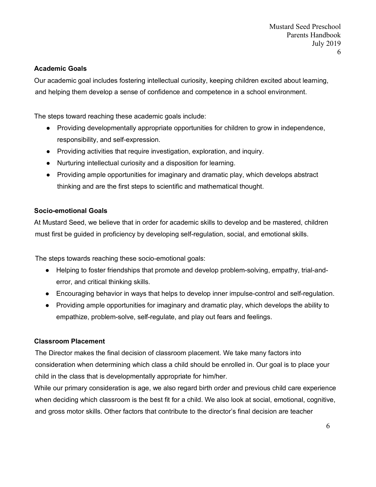## **Academic Goals**

Our academic goal includes fostering intellectual curiosity, keeping children excited about learning, and helping them develop a sense of confidence and competence in a school environment.

The steps toward reaching these academic goals include:

- Providing developmentally appropriate opportunities for children to grow in independence, responsibility, and self-expression.
- Providing activities that require investigation, exploration, and inquiry.
- Nurturing intellectual curiosity and a disposition for learning.
- Providing ample opportunities for imaginary and dramatic play, which develops abstract thinking and are the first steps to scientific and mathematical thought.

## **Socio-emotional Goals**

At Mustard Seed, we believe that in order for academic skills to develop and be mastered, children must first be guided in proficiency by developing self-regulation, social, and emotional skills.

The steps towards reaching these socio-emotional goals:

- Helping to foster friendships that promote and develop problem-solving, empathy, trial-anderror, and critical thinking skills.
- Encouraging behavior in ways that helps to develop inner impulse-control and self-regulation.
- Providing ample opportunities for imaginary and dramatic play, which develops the ability to empathize, problem-solve, self-regulate, and play out fears and feelings.

# **Classroom Placement**

The Director makes the final decision of classroom placement. We take many factors into consideration when determining which class a child should be enrolled in. Our goal is to place your child in the class that is developmentally appropriate for him/her.

While our primary consideration is age, we also regard birth order and previous child care experience when deciding which classroom is the best fit for a child. We also look at social, emotional, cognitive, and gross motor skills. Other factors that contribute to the director's final decision are teacher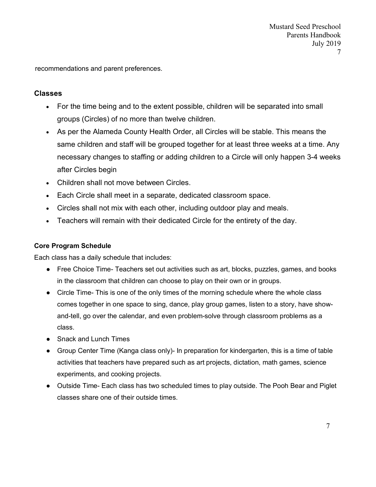recommendations and parent preferences.

## **Classes**

- For the time being and to the extent possible, children will be separated into small groups (Circles) of no more than twelve children.
- As per the Alameda County Health Order, all Circles will be stable. This means the same children and staff will be grouped together for at least three weeks at a time. Any necessary changes to staffing or adding children to a Circle will only happen 3-4 weeks after Circles begin
- Children shall not move between Circles.
- Each Circle shall meet in a separate, dedicated classroom space.
- Circles shall not mix with each other, including outdoor play and meals.
- Teachers will remain with their dedicated Circle for the entirety of the day.

## **Core Program Schedule**

Each class has a daily schedule that includes:

- Free Choice Time- Teachers set out activities such as art, blocks, puzzles, games, and books in the classroom that children can choose to play on their own or in groups.
- Circle Time- This is one of the only times of the morning schedule where the whole class comes together in one space to sing, dance, play group games, listen to a story, have showand-tell, go over the calendar, and even problem-solve through classroom problems as a class.
- Snack and Lunch Times
- Group Center Time (Kanga class only)- In preparation for kindergarten, this is a time of table activities that teachers have prepared such as art projects, dictation, math games, science experiments, and cooking projects.
- Outside Time- Each class has two scheduled times to play outside. The Pooh Bear and Piglet classes share one of their outside times.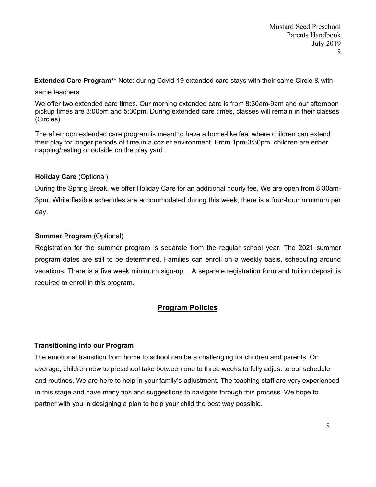**Extended Care Program\*\*** Note: during Covid-19 extended care stays with their same Circle & with

same teachers.

We offer two extended care times. Our morning extended care is from 8:30am-9am and our afternoon pickup times are 3:00pm and 5:30pm. During extended care times, classes will remain in their classes (Circles).

The afternoon extended care program is meant to have a home-like feel where children can extend their play for longer periods of time in a cozier environment. From 1pm-3:30pm, children are either napping/resting or outside on the play yard.

### **Holiday Care** (Optional)

During the Spring Break, we offer Holiday Care for an additional hourly fee. We are open from 8:30am-3pm. While flexible schedules are accommodated during this week, there is a four-hour minimum per day.

## **Summer Program (Optional)**

Registration for the summer program is separate from the regular school year. The 2021 summer program dates are still to be determined. Families can enroll on a weekly basis, scheduling around vacations. There is a five week minimum sign-up. A separate registration form and tuition deposit is required to enroll in this program.

# **Program Policies**

### **Transitioning into our Program**

The emotional transition from home to school can be a challenging for children and parents. On average, children new to preschool take between one to three weeks to fully adjust to our schedule and routines. We are here to help in your family's adjustment. The teaching staff are very experienced in this stage and have many tips and suggestions to navigate through this process. We hope to partner with you in designing a plan to help your child the best way possible.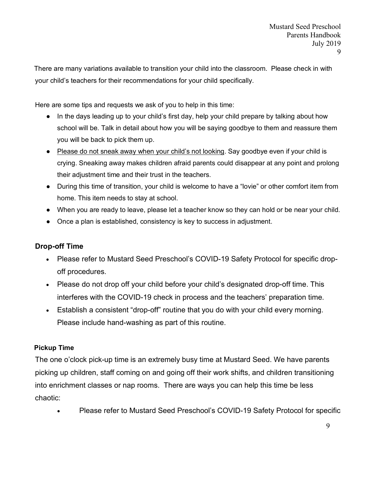There are many variations available to transition your child into the classroom. Please check in with your child's teachers for their recommendations for your child specifically.

Here are some tips and requests we ask of you to help in this time:

- In the days leading up to your child's first day, help your child prepare by talking about how school will be. Talk in detail about how you will be saying goodbye to them and reassure them you will be back to pick them up.
- Please do not sneak away when your child's not looking. Say goodbye even if your child is crying. Sneaking away makes children afraid parents could disappear at any point and prolong their adjustment time and their trust in the teachers.
- During this time of transition, your child is welcome to have a "lovie" or other comfort item from home. This item needs to stay at school.
- When you are ready to leave, please let a teacher know so they can hold or be near your child.
- Once a plan is established, consistency is key to success in adjustment.

# **Drop-off Time**

- Please refer to Mustard Seed Preschool's COVID-19 Safety Protocol for specific dropoff procedures.
- Please do not drop off your child before your child's designated drop-off time. This interferes with the COVID-19 check in process and the teachers' preparation time.
- Establish a consistent "drop-off" routine that you do with your child every morning. Please include hand-washing as part of this routine.

# **Pickup Time**

The one o'clock pick-up time is an extremely busy time at Mustard Seed. We have parents picking up children, staff coming on and going off their work shifts, and children transitioning into enrichment classes or nap rooms. There are ways you can help this time be less chaotic:

• Please refer to Mustard Seed Preschool's COVID-19 Safety Protocol for specific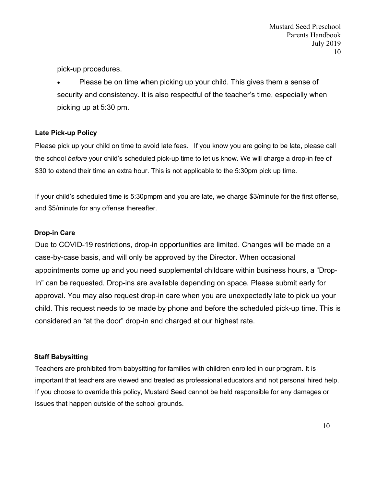pick-up procedures.

• Please be on time when picking up your child. This gives them a sense of security and consistency. It is also respectful of the teacher's time, especially when picking up at 5:30 pm.

## **Late Pick-up Policy**

Please pick up your child on time to avoid late fees. If you know you are going to be late, please call the school *before* your child's scheduled pick-up time to let us know. We will charge a drop-in fee of \$30 to extend their time an extra hour. This is not applicable to the 5:30pm pick up time.

If your child's scheduled time is 5:30pmpm and you are late, we charge \$3/minute for the first offense, and \$5/minute for any offense thereafter.

## **Drop-in Care**

Due to COVID-19 restrictions, drop-in opportunities are limited. Changes will be made on a case-by-case basis, and will only be approved by the Director. When occasional appointments come up and you need supplemental childcare within business hours, a "Drop-In" can be requested. Drop-ins are available depending on space. Please submit early for approval. You may also request drop-in care when you are unexpectedly late to pick up your child. This request needs to be made by phone and before the scheduled pick-up time. This is considered an "at the door" drop-in and charged at our highest rate.

# **Staff Babysitting**

Teachers are prohibited from babysitting for families with children enrolled in our program. It is important that teachers are viewed and treated as professional educators and not personal hired help. If you choose to override this policy, Mustard Seed cannot be held responsible for any damages or issues that happen outside of the school grounds.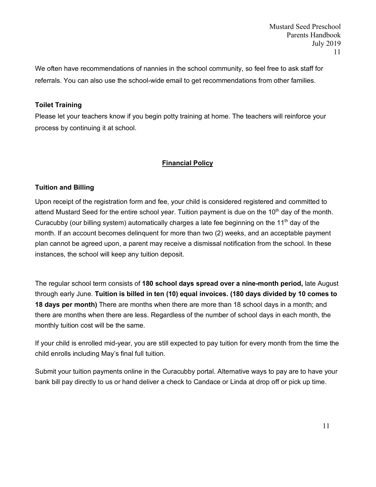We often have recommendations of nannies in the school community, so feel free to ask staff for referrals. You can also use the school-wide email to get recommendations from other families.

## **Toilet Training**

Please let your teachers know if you begin potty training at home. The teachers will reinforce your process by continuing it at school.

### **Financial Policy**

## **Tuition and Billing**

Upon receipt of the registration form and fee, your child is considered registered and committed to attend Mustard Seed for the entire school year. Tuition payment is due on the  $10<sup>th</sup>$  day of the month. Curacubby (our billing system) automatically charges a late fee beginning on the 11<sup>th</sup> day of the month. If an account becomes delinquent for more than two (2) weeks, and an acceptable payment plan cannot be agreed upon, a parent may receive a dismissal notification from the school. In these instances, the school will keep any tuition deposit.

The regular school term consists of **180 school days spread over a nine-month period,** late August through early June. **Tuition is billed in ten (10) equal invoices. (180 days divided by 10 comes to 18 days per month)** There are months when there are more than 18 school days in a month; and there are months when there are less. Regardless of the number of school days in each month, the monthly tuition cost will be the same.

If your child is enrolled mid-year, you are still expected to pay tuition for every month from the time the child enrolls including May's final full tuition.

Submit your tuition payments online in the Curacubby portal. Alternative ways to pay are to have your bank bill pay directly to us or hand deliver a check to Candace or Linda at drop off or pick up time.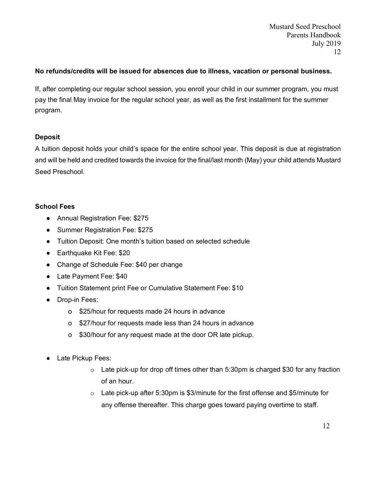## **No refunds/credits will be issued for absences due to illness, vacation or personal business.**

If, after completing our regular school session, you enroll your child in our summer program, you must pay the final May invoice for the regular school year, as well as the first installment for the summer program.

## **Deposit**

A tuition deposit holds your child's space for the entire school year. This deposit is due at registration and will be held and credited towards the invoice for the final/last month (May) your child attends Mustard Seed Preschool.

# **School Fees**

- Annual Registration Fee: \$275
- Summer Registration Fee: \$275
- Tuition Deposit: One month's tuition based on selected schedule
- Earthquake Kit Fee: \$20
- Change of Schedule Fee: \$40 per change
- Late Payment Fee: \$40
- Tuition Statement print Fee or Cumulative Statement Fee: \$10
- Drop-in Fees:
	- o \$25/hour for requests made 24 hours in advance
	- o \$27/hour for requests made less than 24 hours in advance
	- o \$30/hour for any request made at the door OR late pickup.
- Late Pickup Fees:
	- $\circ$  Late pick-up for drop off times other than 5:30pm is charged \$30 for any fraction of an hour.
	- $\circ$  Late pick-up after 5:30pm is \$3/minute for the first offense and \$5/minute for any offense thereafter. This charge goes toward paying overtime to staff.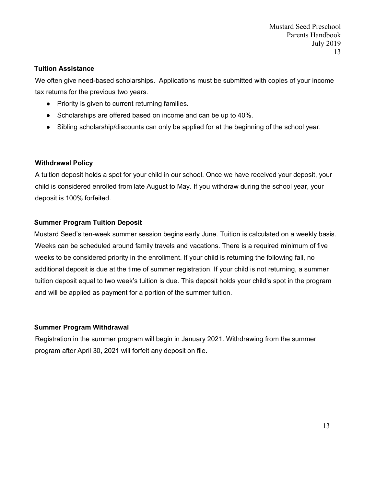#### **Tuition Assistance**

We often give need-based scholarships. Applications must be submitted with copies of your income tax returns for the previous two years.

- Priority is given to current returning families.
- Scholarships are offered based on income and can be up to 40%.
- Sibling scholarship/discounts can only be applied for at the beginning of the school year.

#### **Withdrawal Policy**

A tuition deposit holds a spot for your child in our school. Once we have received your deposit, your child is considered enrolled from late August to May. If you withdraw during the school year, your deposit is 100% forfeited.

### **Summer Program Tuition Deposit**

Mustard Seed's ten-week summer session begins early June. Tuition is calculated on a weekly basis. Weeks can be scheduled around family travels and vacations. There is a required minimum of five weeks to be considered priority in the enrollment. If your child is returning the following fall, no additional deposit is due at the time of summer registration. If your child is not returning, a summer tuition deposit equal to two week's tuition is due. This deposit holds your child's spot in the program and will be applied as payment for a portion of the summer tuition.

### **Summer Program Withdrawal**

Registration in the summer program will begin in January 2021. Withdrawing from the summer program after April 30, 2021 will forfeit any deposit on file.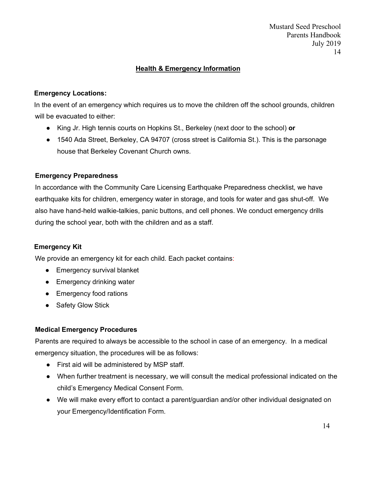# **Health & Emergency Information**

## **Emergency Locations:**

In the event of an emergency which requires us to move the children off the school grounds, children will be evacuated to either:

- King Jr. High tennis courts on Hopkins St., Berkeley (next door to the school) **or**
- 1540 Ada Street, Berkeley, CA 94707 (cross street is California St.). This is the parsonage house that Berkeley Covenant Church owns.

## **Emergency Preparedness**

In accordance with the Community Care Licensing Earthquake Preparedness checklist, we have earthquake kits for children, emergency water in storage, and tools for water and gas shut-off. We also have hand-held walkie-talkies, panic buttons, and cell phones. We conduct emergency drills during the school year, both with the children and as a staff.

# **Emergency Kit**

We provide an emergency kit for each child. Each packet contains:

- Emergency survival blanket
- Emergency drinking water
- Emergency food rations
- Safety Glow Stick

# **Medical Emergency Procedures**

Parents are required to always be accessible to the school in case of an emergency. In a medical emergency situation, the procedures will be as follows:

- First aid will be administered by MSP staff.
- When further treatment is necessary, we will consult the medical professional indicated on the child's Emergency Medical Consent Form.
- We will make every effort to contact a parent/guardian and/or other individual designated on your Emergency/Identification Form.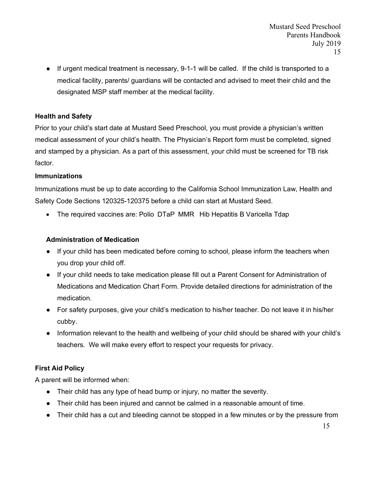● If urgent medical treatment is necessary, 9-1-1 will be called. If the child is transported to a medical facility, parents/ guardians will be contacted and advised to meet their child and the designated MSP staff member at the medical facility.

## **Health and Safety**

Prior to your child's start date at Mustard Seed Preschool, you must provide a physician's written medical assessment of your child's health. The Physician's Report form must be completed, signed and stamped by a physician. As a part of this assessment, your child must be screened for TB risk factor.

### **Immunizations**

Immunizations must be up to date according to the California School Immunization Law, Health and Safety Code Sections 120325-120375 before a child can start at Mustard Seed.

• The required vaccines are: Polio DTaP MMR Hib Hepatitis B Varicella Tdap

## **Administration of Medication**

- If your child has been medicated before coming to school, please inform the teachers when you drop your child off.
- If your child needs to take medication please fill out a Parent Consent for Administration of Medications and Medication Chart Form. Provide detailed directions for administration of the medication.
- For safety purposes, give your child's medication to his/her teacher. Do not leave it in his/her cubby.
- Information relevant to the health and wellbeing of your child should be shared with your child's teachers. We will make every effort to respect your requests for privacy.

# **First Aid Policy**

A parent will be informed when:

- Their child has any type of head bump or injury, no matter the severity.
- Their child has been injured and cannot be calmed in a reasonable amount of time.
- Their child has a cut and bleeding cannot be stopped in a few minutes or by the pressure from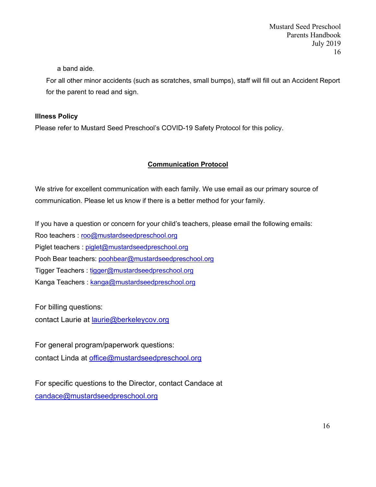a band aide.

For all other minor accidents (such as scratches, small bumps), staff will fill out an Accident Report for the parent to read and sign.

### **Illness Policy**

Please refer to Mustard Seed Preschool's COVID-19 Safety Protocol for this policy.

## **Communication Protocol**

We strive for excellent communication with each family. We use email as our primary source of communication. Please let us know if there is a better method for your family.

If you have a question or concern for your child's teachers, please email the following emails:

Roo teachers : roo@mustardseedpreschool.org

Piglet teachers : piglet@mustardseedpreschool.org

Pooh Bear teachers: poohbear@mustardseedpreschool.org

Tigger Teachers : tigger@mustardseedpreschool.org

Kanga Teachers : kanga@mustardseedpreschool.org

For billing questions:

contact Laurie at laurie@berkeleycov.org

For general program/paperwork questions: contact Linda at office@mustardseedpreschool.org

For specific questions to the Director, contact Candace at candace@mustardseedpreschool.org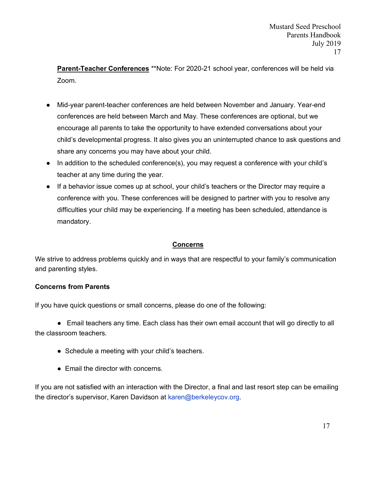**Parent-Teacher Conferences** \*\*Note: For 2020-21 school year, conferences will be held via Zoom.

- Mid-year parent-teacher conferences are held between November and January. Year-end conferences are held between March and May. These conferences are optional, but we encourage all parents to take the opportunity to have extended conversations about your child's developmental progress. It also gives you an uninterrupted chance to ask questions and share any concerns you may have about your child.
- In addition to the scheduled conference(s), you may request a conference with your child's teacher at any time during the year.
- If a behavior issue comes up at school, your child's teachers or the Director may require a conference with you. These conferences will be designed to partner with you to resolve any difficulties your child may be experiencing. If a meeting has been scheduled, attendance is mandatory.

# **Concerns**

We strive to address problems quickly and in ways that are respectful to your family's communication and parenting styles.

### **Concerns from Parents**

If you have quick questions or small concerns, please do one of the following:

● Email teachers any time. Each class has their own email account that will go directly to all the classroom teachers.

- Schedule a meeting with your child's teachers.
- Email the director with concerns.

If you are not satisfied with an interaction with the Director, a final and last resort step can be emailing the director's supervisor, Karen Davidson at karen@berkeleycov.org.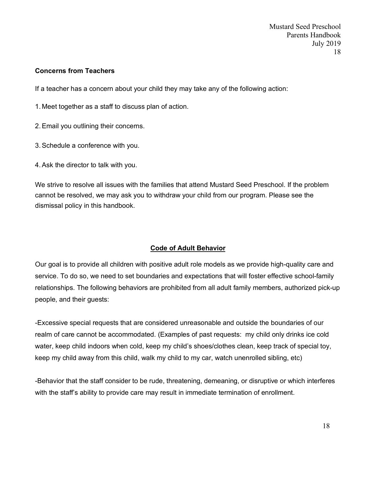Mustard Seed Preschool Parents Handbook July 2019 18

## **Concerns from Teachers**

If a teacher has a concern about your child they may take any of the following action:

1. Meet together as a staff to discuss plan of action.

- 2.Email you outlining their concerns.
- 3.Schedule a conference with you.
- 4.Ask the director to talk with you.

We strive to resolve all issues with the families that attend Mustard Seed Preschool. If the problem cannot be resolved, we may ask you to withdraw your child from our program. Please see the dismissal policy in this handbook.

### **Code of Adult Behavior**

Our goal is to provide all children with positive adult role models as we provide high-quality care and service. To do so, we need to set boundaries and expectations that will foster effective school-family relationships. The following behaviors are prohibited from all adult family members, authorized pick-up people, and their guests:

-Excessive special requests that are considered unreasonable and outside the boundaries of our realm of care cannot be accommodated. (Examples of past requests: my child only drinks ice cold water, keep child indoors when cold, keep my child's shoes/clothes clean, keep track of special toy, keep my child away from this child, walk my child to my car, watch unenrolled sibling, etc)

-Behavior that the staff consider to be rude, threatening, demeaning, or disruptive or which interferes with the staff's ability to provide care may result in immediate termination of enrollment.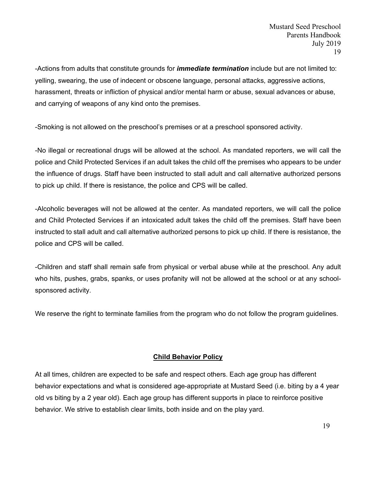-Actions from adults that constitute grounds for *immediate termination* include but are not limited to: yelling, swearing, the use of indecent or obscene language, personal attacks, aggressive actions, harassment, threats or infliction of physical and/or mental harm or abuse, sexual advances or abuse, and carrying of weapons of any kind onto the premises.

-Smoking is not allowed on the preschool's premises or at a preschool sponsored activity.

-No illegal or recreational drugs will be allowed at the school. As mandated reporters, we will call the police and Child Protected Services if an adult takes the child off the premises who appears to be under the influence of drugs. Staff have been instructed to stall adult and call alternative authorized persons to pick up child. If there is resistance, the police and CPS will be called.

-Alcoholic beverages will not be allowed at the center. As mandated reporters, we will call the police and Child Protected Services if an intoxicated adult takes the child off the premises. Staff have been instructed to stall adult and call alternative authorized persons to pick up child. If there is resistance, the police and CPS will be called.

-Children and staff shall remain safe from physical or verbal abuse while at the preschool. Any adult who hits, pushes, grabs, spanks, or uses profanity will not be allowed at the school or at any schoolsponsored activity.

We reserve the right to terminate families from the program who do not follow the program guidelines.

# **Child Behavior Policy**

At all times, children are expected to be safe and respect others. Each age group has different behavior expectations and what is considered age-appropriate at Mustard Seed (i.e. biting by a 4 year old vs biting by a 2 year old). Each age group has different supports in place to reinforce positive behavior. We strive to establish clear limits, both inside and on the play yard.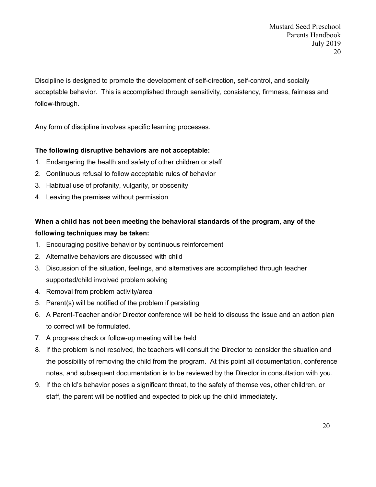Discipline is designed to promote the development of self-direction, self-control, and socially acceptable behavior. This is accomplished through sensitivity, consistency, firmness, fairness and follow-through.

Any form of discipline involves specific learning processes.

## **The following disruptive behaviors are not acceptable:**

- 1. Endangering the health and safety of other children or staff
- 2. Continuous refusal to follow acceptable rules of behavior
- 3. Habitual use of profanity, vulgarity, or obscenity
- 4. Leaving the premises without permission

# **When a child has not been meeting the behavioral standards of the program, any of the following techniques may be taken:**

- 1. Encouraging positive behavior by continuous reinforcement
- 2. Alternative behaviors are discussed with child
- 3. Discussion of the situation, feelings, and alternatives are accomplished through teacher supported/child involved problem solving
- 4. Removal from problem activity/area
- 5. Parent(s) will be notified of the problem if persisting
- 6. A Parent-Teacher and/or Director conference will be held to discuss the issue and an action plan to correct will be formulated.
- 7. A progress check or follow-up meeting will be held
- 8. If the problem is not resolved, the teachers will consult the Director to consider the situation and the possibility of removing the child from the program. At this point all documentation, conference notes, and subsequent documentation is to be reviewed by the Director in consultation with you.
- 9. If the child's behavior poses a significant threat, to the safety of themselves, other children, or staff, the parent will be notified and expected to pick up the child immediately.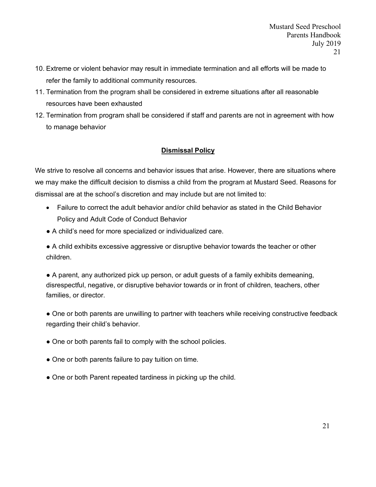- 10. Extreme or violent behavior may result in immediate termination and all efforts will be made to refer the family to additional community resources.
- 11. Termination from the program shall be considered in extreme situations after all reasonable resources have been exhausted
- 12. Termination from program shall be considered if staff and parents are not in agreement with how to manage behavior

# **Dismissal Policy**

We strive to resolve all concerns and behavior issues that arise. However, there are situations where we may make the difficult decision to dismiss a child from the program at Mustard Seed. Reasons for dismissal are at the school's discretion and may include but are not limited to:

- Failure to correct the adult behavior and/or child behavior as stated in the Child Behavior Policy and Adult Code of Conduct Behavior
- A child's need for more specialized or individualized care.

● A child exhibits excessive aggressive or disruptive behavior towards the teacher or other children.

● A parent, any authorized pick up person, or adult guests of a family exhibits demeaning, disrespectful, negative, or disruptive behavior towards or in front of children, teachers, other families, or director.

● One or both parents are unwilling to partner with teachers while receiving constructive feedback regarding their child's behavior.

- One or both parents fail to comply with the school policies.
- One or both parents failure to pay tuition on time.
- One or both Parent repeated tardiness in picking up the child.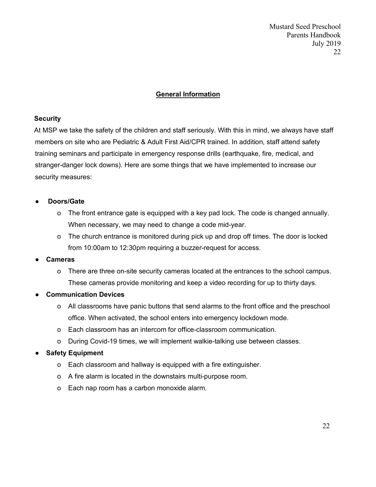Mustard Seed Preschool Parents Handbook July 2019 22

## **General Information**

#### **Security**

At MSP we take the safety of the children and staff seriously. With this in mind, we always have staff members on site who are Pediatric & Adult First Aid/CPR trained. In addition, staff attend safety training seminars and participate in emergency response drills (earthquake, fire, medical, and stranger-danger lock downs). Here are some things that we have implemented to increase our security measures:

### ● **Doors/Gate**

- o The front entrance gate is equipped with a key pad lock. The code is changed annually. When necessary, we may need to change a code mid-year.
- o The church entrance is monitored during pick up and drop off times. The door is locked from 10:00am to 12:30pm requiring a buzzer-request for access.

### ● **Cameras**

- o There are three on-site security cameras located at the entrances to the school campus. These cameras provide monitoring and keep a video recording for up to thirty days.
- **Communication Devices**
	- o All classrooms have panic buttons that send alarms to the front office and the preschool office. When activated, the school enters into emergency lockdown mode.
	- o Each classroom has an intercom for office-classroom communication.
	- o During Covid-19 times, we will implement walkie-talking use between classes.

# ● **Safety Equipment**

- o Each classroom and hallway is equipped with a fire extinguisher.
- o A fire alarm is located in the downstairs multi-purpose room.
- o Each nap room has a carbon monoxide alarm.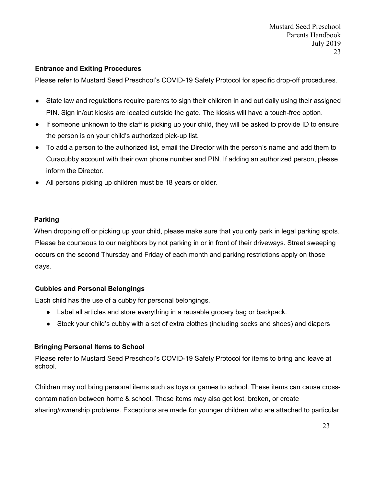## **Entrance and Exiting Procedures**

Please refer to Mustard Seed Preschool's COVID-19 Safety Protocol for specific drop-off procedures.

- State law and regulations require parents to sign their children in and out daily using their assigned PIN. Sign in/out kiosks are located outside the gate. The kiosks will have a touch-free option.
- If someone unknown to the staff is picking up your child, they will be asked to provide ID to ensure the person is on your child's authorized pick-up list.
- To add a person to the authorized list, email the Director with the person's name and add them to Curacubby account with their own phone number and PIN. If adding an authorized person, please inform the Director.
- All persons picking up children must be 18 years or older.

## **Parking**

When dropping off or picking up your child, please make sure that you only park in legal parking spots. Please be courteous to our neighbors by not parking in or in front of their driveways. Street sweeping occurs on the second Thursday and Friday of each month and parking restrictions apply on those days.

### **Cubbies and Personal Belongings**

Each child has the use of a cubby for personal belongings.

- Label all articles and store everything in a reusable grocery bag or backpack.
- Stock your child's cubby with a set of extra clothes (including socks and shoes) and diapers

### **Bringing Personal Items to School**

Please refer to Mustard Seed Preschool's COVID-19 Safety Protocol for items to bring and leave at school.

Children may not bring personal items such as toys or games to school. These items can cause crosscontamination between home & school. These items may also get lost, broken, or create sharing/ownership problems. Exceptions are made for younger children who are attached to particular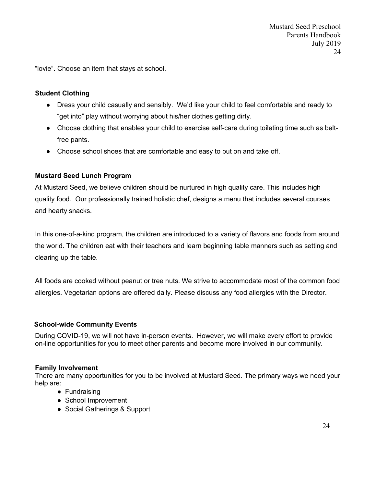"lovie". Choose an item that stays at school.

#### **Student Clothing**

- Dress your child casually and sensibly. We'd like your child to feel comfortable and ready to "get into" play without worrying about his/her clothes getting dirty.
- Choose clothing that enables your child to exercise self-care during toileting time such as beltfree pants.
- Choose school shoes that are comfortable and easy to put on and take off.

#### **Mustard Seed Lunch Program**

At Mustard Seed, we believe children should be nurtured in high quality care. This includes high quality food. Our professionally trained holistic chef, designs a menu that includes several courses and hearty snacks.

In this one-of-a-kind program, the children are introduced to a variety of flavors and foods from around the world. The children eat with their teachers and learn beginning table manners such as setting and clearing up the table.

All foods are cooked without peanut or tree nuts. We strive to accommodate most of the common food allergies. Vegetarian options are offered daily. Please discuss any food allergies with the Director.

#### **School-wide Community Events**

During COVID-19, we will not have in-person events. However, we will make every effort to provide on-line opportunities for you to meet other parents and become more involved in our community.

#### **Family Involvement**

There are many opportunities for you to be involved at Mustard Seed. The primary ways we need your help are:

- Fundraising
- School Improvement
- Social Gatherings & Support